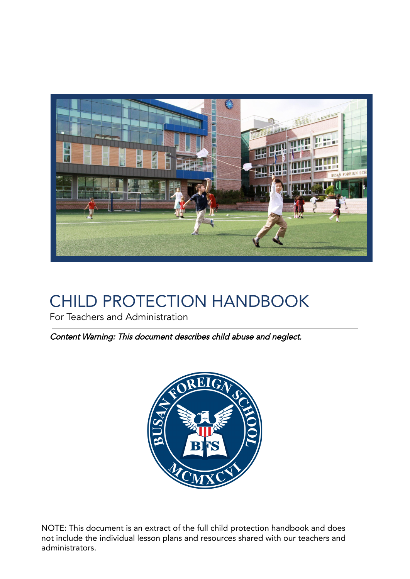

# CHILD PROTECTION HANDBOOK

For Teachers and Administration

Content Warning: This document describes child abuse and neglect.



NOTE: This document is an extract of the full child protection handbook and does not include the individual lesson plans and resources shared with our teachers and administrators.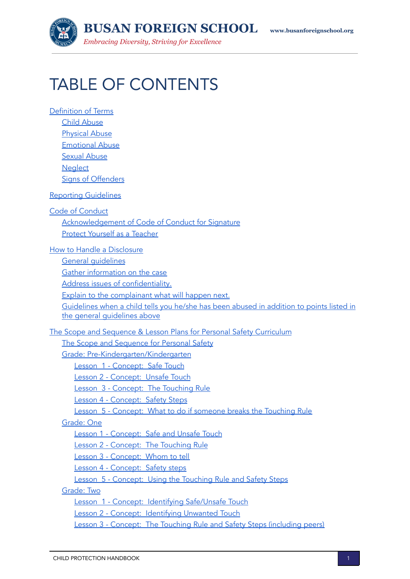

# TABLE OF CONTENTS

[Definition](#page-3-0) of Terms

Child [Abuse](#page-3-1)

[Physical](#page-3-2) Abuse

[Emotional](#page-4-0) Abuse

[Sexual](#page-4-1) Abuse

**[Neglect](#page-5-0)** 

Signs of [Offenders](#page-5-1)

### Reporting [Guidelines](#page-6-0)

### Code of [Conduct](#page-7-0)

Acknowledgement of Code of Conduct for Signature

Protect Yourself as a Teacher

### How to Handle a [Disclosure](#page-9-0)

General [guidelines](#page-9-1)

Gather [information](#page-10-0) on the case

Address issues of [confidentiality.](#page-10-1)

Explain to the [complainant](#page-10-2) what will happen next.

[Guidelines](#page-10-3) when a child tells you he/she has been abused in addition to points listed in the general [guidelines](#page-10-3) above

### The Scope and Sequence & Lesson Plans for Personal Safety Curriculum

The Scope and [Sequence](#page-12-0) for Personal Safety

Grade: [Pre-Kindergarten/Kindergarten](#page-12-1)

Lesson 1 - [Concept:](#page--1-0) Safe Touch

Lesson 2 - [Concept:](#page--1-1) Unsafe Touch

Lesson 3 - [Concept:](#page--1-2) The Touching Rule

Lesson 4 - [Concept:](#page--1-3) Safety Steps

Lesson 5 - Concept: What to do if [someone](#page--1-4) breaks the Touching Rule

### [Grade:](#page--1-5) One

Lesson 1 - [Concept:](#page--1-6) Safe and Unsafe Touch

Lesson 2 - [Concept:](#page--1-7) The Touching Rule

Lesson 3 - [Concept:](#page--1-8) Whom to tell

Lesson 4 - [Concept:](#page--1-9) Safety steps

Lesson 5 - [Concept:](#page--1-9) Using the Touching Rule and Safety Steps

[Grade:](#page--1-10) Two

Lesson 1 - Concept: Identifying [Safe/Unsafe](#page--1-11) Touch

Lesson 2 - Concept: [Identifying](#page--1-5) Unwanted Touch

Lesson 3 - Concept: The Touching Rule and Safety Steps [\(including](#page--1-12) peers)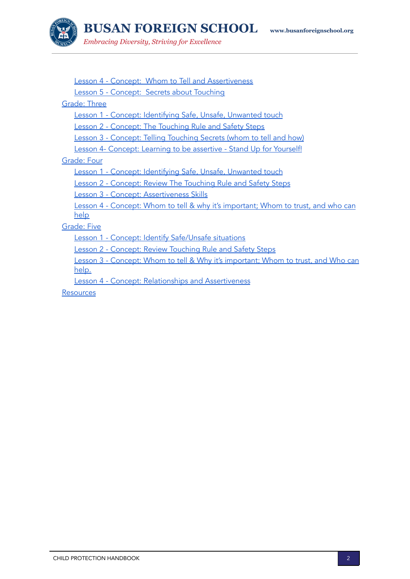

Lesson 4 - Concept: Whom to Tell and [Assertiveness](#page--1-13)

Lesson 5 - [Concept:](#page--1-14) Secrets about Touching

[Grade:](#page--1-15) Three

Lesson 1 - Concept: [Identifying](#page--1-16) Safe, Unsafe, Unwanted touch

Lesson 2 - [Concept:](#page--1-17) The Touching Rule and Safety Steps

Lesson 3 - [Concept:](#page--1-18) Telling Touching Secrets (whom to tell and how)

Lesson 4- [Concept:](#page--1-2) Learning to be assertive - Stand Up for Yourself!

[Grade:](#page--1-19) Four

Lesson 1 - Concept: [Identifying](#page--1-20) Safe, Unsafe, Unwanted touch

Lesson 2 - [Concept:](#page--1-21) Review The Touching Rule and Safety Steps

Lesson 3 - Concept: [Assertiveness](#page--1-22) Skills

Lesson 4 - Concept: Whom to tell & why it's [important;](#page--1-23) Whom to trust, and who can [help](#page--1-23)

[Grade:](#page--1-24) Five

Lesson 1 - Concept: Identify [Safe/Unsafe](#page--1-25) situations

Lesson 2 - [Concept:](#page--1-3) Review Touching Rule and Safety Steps

Lesson 3 - Concept: Whom to tell & Why it's [important;](#page--1-26) Whom to trust, and Who can [help.](#page--1-26)

Lesson 4 - Concept: Relationships and [Assertiveness](#page--1-27)

**[Resources](#page--1-28)**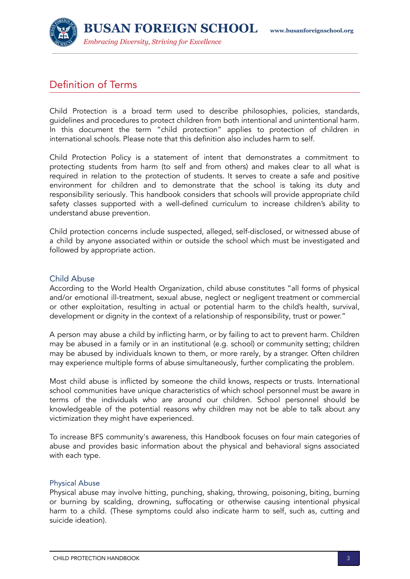

## <span id="page-3-0"></span>Definition of Terms

Child Protection is a broad term used to describe philosophies, policies, standards, guidelines and procedures to protect children from both intentional and unintentional harm. In this document the term "child protection" applies to protection of children in international schools. Please note that this definition also includes harm to self.

Child Protection Policy is a statement of intent that demonstrates a commitment to protecting students from harm (to self and from others) and makes clear to all what is required in relation to the protection of students. It serves to create a safe and positive environment for children and to demonstrate that the school is taking its duty and responsibility seriously. This handbook considers that schools will provide appropriate child safety classes supported with a well-defined curriculum to increase children's ability to understand abuse prevention.

Child protection concerns include suspected, alleged, self-disclosed, or witnessed abuse of a child by anyone associated within or outside the school which must be investigated and followed by appropriate action.

### <span id="page-3-1"></span>Child Abuse

According to the World Health Organization, child abuse constitutes "all forms of physical and/or emotional ill-treatment, sexual abuse, neglect or negligent treatment or commercial or other exploitation, resulting in actual or potential harm to the child's health, survival, development or dignity in the context of a relationship of responsibility, trust or power."

A person may abuse a child by inflicting harm, or by failing to act to prevent harm. Children may be abused in a family or in an institutional (e.g. school) or community setting; children may be abused by individuals known to them, or more rarely, by a stranger. Often children may experience multiple forms of abuse simultaneously, further complicating the problem.

Most child abuse is inflicted by someone the child knows, respects or trusts. International school communities have unique characteristics of which school personnel must be aware in terms of the individuals who are around our children. School personnel should be knowledgeable of the potential reasons why children may not be able to talk about any victimization they might have experienced.

To increase BFS community's awareness, this Handbook focuses on four main categories of abuse and provides basic information about the physical and behavioral signs associated with each type.

### <span id="page-3-2"></span>Physical Abuse

Physical abuse may involve hitting, punching, shaking, throwing, poisoning, biting, burning or burning by scalding, drowning, suffocating or otherwise causing intentional physical harm to a child. (These symptoms could also indicate harm to self, such as, cutting and suicide ideation).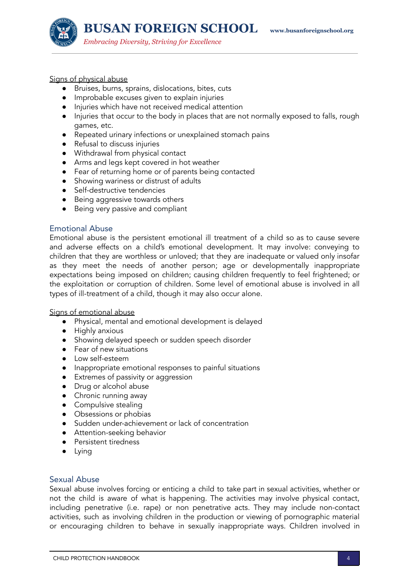

Signs of physical abuse

- Bruises, burns, sprains, dislocations, bites, cuts
- Improbable excuses given to explain injuries
- Injuries which have not received medical attention
- Injuries that occur to the body in places that are not normally exposed to falls, rough games, etc.
- Repeated urinary infections or unexplained stomach pains
- Refusal to discuss injuries
- Withdrawal from physical contact
- Arms and legs kept covered in hot weather
- Fear of returning home or of parents being contacted
- Showing wariness or distrust of adults
- Self-destructive tendencies
- Being aggressive towards others
- Being very passive and compliant

### <span id="page-4-0"></span>Emotional Abuse

Emotional abuse is the persistent emotional ill treatment of a child so as to cause severe and adverse effects on a child's emotional development. It may involve: conveying to children that they are worthless or unloved; that they are inadequate or valued only insofar as they meet the needs of another person; age or developmentally inappropriate expectations being imposed on children; causing children frequently to feel frightened; or the exploitation or corruption of children. Some level of emotional abuse is involved in all types of ill-treatment of a child, though it may also occur alone.

Signs of emotional abuse

- Physical, mental and emotional development is delayed
- Highly anxious
- Showing delayed speech or sudden speech disorder
- Fear of new situations
- Low self-esteem
- Inappropriate emotional responses to painful situations
- Extremes of passivity or aggression
- Drug or alcohol abuse
- Chronic running away
- Compulsive stealing
- Obsessions or phobias
- Sudden under-achievement or lack of concentration
- Attention-seeking behavior
- Persistent tiredness
- Lying

#### <span id="page-4-1"></span>Sexual Abuse

Sexual abuse involves forcing or enticing a child to take part in sexual activities, whether or not the child is aware of what is happening. The activities may involve physical contact, including penetrative (i.e. rape) or non penetrative acts. They may include non-contact activities, such as involving children in the production or viewing of pornographic material or encouraging children to behave in sexually inappropriate ways. Children involved in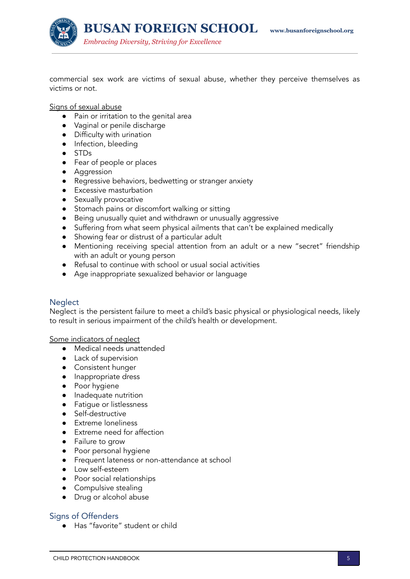

commercial sex work are victims of sexual abuse, whether they perceive themselves as victims or not.

Signs of sexual abuse

- Pain or irritation to the genital area
- Vaginal or penile discharge
- Difficulty with urination
- Infection, bleeding
- STDs
- Fear of people or places
- Aggression
- Regressive behaviors, bedwetting or stranger anxiety
- Excessive masturbation
- Sexually provocative
- Stomach pains or discomfort walking or sitting
- Being unusually quiet and withdrawn or unusually aggressive
- Suffering from what seem physical ailments that can't be explained medically
- Showing fear or distrust of a particular adult
- Mentioning receiving special attention from an adult or a new "secret" friendship with an adult or young person
- Refusal to continue with school or usual social activities
- Age inappropriate sexualized behavior or language

#### <span id="page-5-0"></span>**Neglect**

Neglect is the persistent failure to meet a child's basic physical or physiological needs, likely to result in serious impairment of the child's health or development.

Some indicators of neglect

- Medical needs unattended
- Lack of supervision
- Consistent hunger
- Inappropriate dress
- Poor hygiene
- Inadequate nutrition
- Fatique or listlessness
- Self-destructive
- Extreme loneliness
- Extreme need for affection
- Failure to grow
- Poor personal hygiene
- Frequent lateness or non-attendance at school
- Low self-esteem
- Poor social relationships
- Compulsive stealing
- Drug or alcohol abuse

### <span id="page-5-1"></span>Signs of Offenders

● Has "favorite" student or child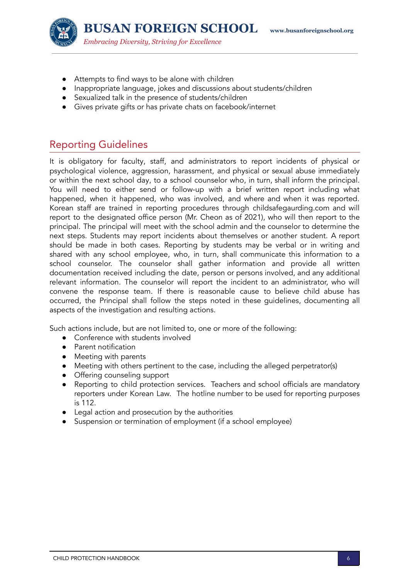

- Attempts to find ways to be alone with children
- Inappropriate language, jokes and discussions about students/children
- Sexualized talk in the presence of students/children
- Gives private gifts or has private chats on facebook/internet

### <span id="page-6-0"></span>Reporting Guidelines

It is obligatory for faculty, staff, and administrators to report incidents of physical or psychological violence, aggression, harassment, and physical or sexual abuse immediately or within the next school day, to a school counselor who, in turn, shall inform the principal. You will need to either send or follow-up with a brief written report including what happened, when it happened, who was involved, and where and when it was reported. Korean staff are trained in reporting procedures through childsafegaurding.com and will report to the designated office person (Mr. Cheon as of 2021), who will then report to the principal. The principal will meet with the school admin and the counselor to determine the next steps. Students may report incidents about themselves or another student. A report should be made in both cases. Reporting by students may be verbal or in writing and shared with any school employee, who, in turn, shall communicate this information to a school counselor. The counselor shall gather information and provide all written documentation received including the date, person or persons involved, and any additional relevant information. The counselor will report the incident to an administrator, who will convene the response team. If there is reasonable cause to believe child abuse has occurred, the Principal shall follow the steps noted in these guidelines, documenting all aspects of the investigation and resulting actions.

Such actions include, but are not limited to, one or more of the following:

- Conference with students involved
- Parent notification
- Meeting with parents
- Meeting with others pertinent to the case, including the alleged perpetrator(s)
- Offering counseling support
- Reporting to child protection services. Teachers and school officials are mandatory reporters under Korean Law. The hotline number to be used for reporting purposes is 112.
- Legal action and prosecution by the authorities
- Suspension or termination of employment (if a school employee)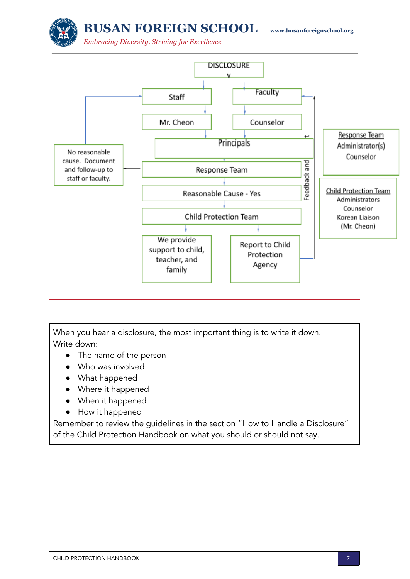

*Embracing Diversity, Striving for Excellence*

<span id="page-7-0"></span>

When you hear a disclosure, the most important thing is to write it down. Write down:

- The name of the person
- Who was involved
- What happened
- Where it happened
- When it happened
- How it happened

Remember to review the guidelines in the section "How to Handle a Disclosure" of the Child Protection Handbook on what you should or should not say.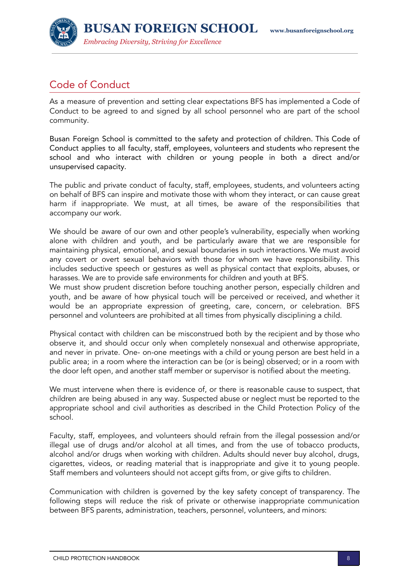

# Code of Conduct

As a measure of prevention and setting clear expectations BFS has implemented a Code of Conduct to be agreed to and signed by all school personnel who are part of the school community.

Busan Foreign School is committed to the safety and protection of children. This Code of Conduct applies to all faculty, staff, employees, volunteers and students who represent the school and who interact with children or young people in both a direct and/or unsupervised capacity.

The public and private conduct of faculty, staff, employees, students, and volunteers acting on behalf of BFS can inspire and motivate those with whom they interact, or can cause great harm if inappropriate. We must, at all times, be aware of the responsibilities that accompany our work.

We should be aware of our own and other people's vulnerability, especially when working alone with children and youth, and be particularly aware that we are responsible for maintaining physical, emotional, and sexual boundaries in such interactions. We must avoid any covert or overt sexual behaviors with those for whom we have responsibility. This includes seductive speech or gestures as well as physical contact that exploits, abuses, or harasses. We are to provide safe environments for children and youth at BFS.

We must show prudent discretion before touching another person, especially children and youth, and be aware of how physical touch will be perceived or received, and whether it would be an appropriate expression of greeting, care, concern, or celebration. BFS personnel and volunteers are prohibited at all times from physically disciplining a child.

Physical contact with children can be misconstrued both by the recipient and by those who observe it, and should occur only when completely nonsexual and otherwise appropriate, and never in private. One- on-one meetings with a child or young person are best held in a public area; in a room where the interaction can be (or is being) observed; or in a room with the door left open, and another staff member or supervisor is notified about the meeting.

We must intervene when there is evidence of, or there is reasonable cause to suspect, that children are being abused in any way. Suspected abuse or neglect must be reported to the appropriate school and civil authorities as described in the Child Protection Policy of the school.

Faculty, staff, employees, and volunteers should refrain from the illegal possession and/or illegal use of drugs and/or alcohol at all times, and from the use of tobacco products, alcohol and/or drugs when working with children. Adults should never buy alcohol, drugs, cigarettes, videos, or reading material that is inappropriate and give it to young people. Staff members and volunteers should not accept gifts from, or give gifts to children.

Communication with children is governed by the key safety concept of transparency. The following steps will reduce the risk of private or otherwise inappropriate communication between BFS parents, administration, teachers, personnel, volunteers, and minors: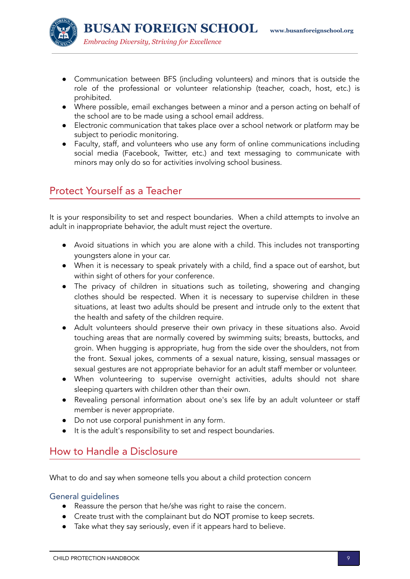

- Communication between BFS (including volunteers) and minors that is outside the role of the professional or volunteer relationship (teacher, coach, host, etc.) is prohibited.
- Where possible, email exchanges between a minor and a person acting on behalf of the school are to be made using a school email address.
- Electronic communication that takes place over a school network or platform may be subject to periodic monitoring.
- Faculty, staff, and volunteers who use any form of online communications including social media (Facebook, Twitter, etc.) and text messaging to communicate with minors may only do so for activities involving school business.

### Protect Yourself as a Teacher

It is your responsibility to set and respect boundaries. When a child attempts to involve an adult in inappropriate behavior, the adult must reject the overture.

- Avoid situations in which you are alone with a child. This includes not transporting youngsters alone in your car.
- When it is necessary to speak privately with a child, find a space out of earshot, but within sight of others for your conference.
- The privacy of children in situations such as toileting, showering and changing clothes should be respected. When it is necessary to supervise children in these situations, at least two adults should be present and intrude only to the extent that the health and safety of the children require.
- Adult volunteers should preserve their own privacy in these situations also. Avoid touching areas that are normally covered by swimming suits; breasts, buttocks, and groin. When hugging is appropriate, hug from the side over the shoulders, not from the front. Sexual jokes, comments of a sexual nature, kissing, sensual massages or sexual gestures are not appropriate behavior for an adult staff member or volunteer.
- When volunteering to supervise overnight activities, adults should not share sleeping quarters with children other than their own.
- Revealing personal information about one's sex life by an adult volunteer or staff member is never appropriate.
- Do not use corporal punishment in any form.
- It is the adult's responsibility to set and respect boundaries.

### <span id="page-9-0"></span>How to Handle a Disclosure

What to do and say when someone tells you about a child protection concern

### <span id="page-9-1"></span>General guidelines

- Reassure the person that he/she was right to raise the concern.
- Create trust with the complainant but do NOT promise to keep secrets.
- Take what they say seriously, even if it appears hard to believe.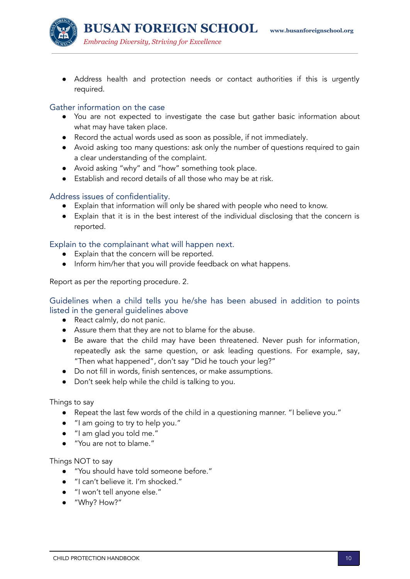

*Embracing Diversity, Striving for Excellence*

● Address health and protection needs or contact authorities if this is urgently required.

### <span id="page-10-0"></span>Gather information on the case

- You are not expected to investigate the case but gather basic information about what may have taken place.
- Record the actual words used as soon as possible, if not immediately.
- Avoid asking too many questions: ask only the number of questions required to gain a clear understanding of the complaint.
- Avoid asking "why" and "how" something took place.
- Establish and record details of all those who may be at risk.

### <span id="page-10-1"></span>Address issues of confidentiality.

- Explain that information will only be shared with people who need to know.
- Explain that it is in the best interest of the individual disclosing that the concern is reported.

### <span id="page-10-2"></span>Explain to the complainant what will happen next.

- Explain that the concern will be reported.
- Inform him/her that you will provide feedback on what happens.

Report as per the reporting procedure. 2.

<span id="page-10-3"></span>Guidelines when a child tells you he/she has been abused in addition to points listed in the general guidelines above

- React calmly, do not panic.
- Assure them that they are not to blame for the abuse.
- Be aware that the child may have been threatened. Never push for information, repeatedly ask the same question, or ask leading questions. For example, say, "Then what happened", don't say "Did he touch your leg?"
- Do not fill in words, finish sentences, or make assumptions.
- Don't seek help while the child is talking to you.

### Things to say

- Repeat the last few words of the child in a questioning manner. "I believe you."
- "I am going to try to help you."
- "I am glad you told me."
- "You are not to blame."

#### Things NOT to say

- "You should have told someone before."
- "I can't believe it. I'm shocked."
- "I won't tell anyone else."
- "Why? How?"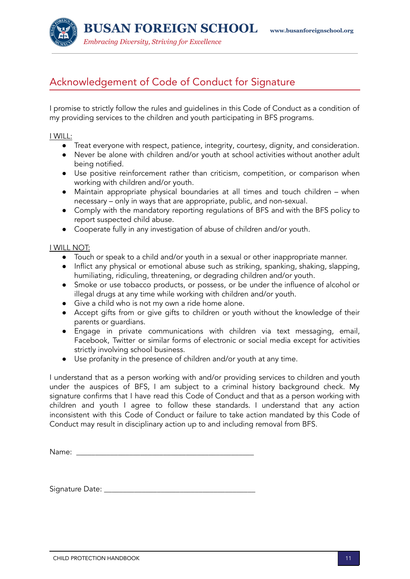

# Acknowledgement of Code of Conduct for Signature

I promise to strictly follow the rules and guidelines in this Code of Conduct as a condition of my providing services to the children and youth participating in BFS programs.

### I WILL:

- Treat everyone with respect, patience, integrity, courtesy, dignity, and consideration.
- Never be alone with children and/or youth at school activities without another adult being notified.
- Use positive reinforcement rather than criticism, competition, or comparison when working with children and/or youth.
- Maintain appropriate physical boundaries at all times and touch children when necessary – only in ways that are appropriate, public, and non-sexual.
- Comply with the mandatory reporting regulations of BFS and with the BFS policy to report suspected child abuse.
- Cooperate fully in any investigation of abuse of children and/or youth.

### I WILL NOT:

- Touch or speak to a child and/or youth in a sexual or other inappropriate manner.
- Inflict any physical or emotional abuse such as striking, spanking, shaking, slapping, humiliating, ridiculing, threatening, or degrading children and/or youth.
- Smoke or use tobacco products, or possess, or be under the influence of alcohol or illegal drugs at any time while working with children and/or youth.
- Give a child who is not my own a ride home alone.
- Accept gifts from or give gifts to children or youth without the knowledge of their parents or guardians.
- Engage in private communications with children via text messaging, email, Facebook, Twitter or similar forms of electronic or social media except for activities strictly involving school business.
- Use profanity in the presence of children and/or youth at any time.

I understand that as a person working with and/or providing services to children and youth under the auspices of BFS, I am subject to a criminal history background check. My signature confirms that I have read this Code of Conduct and that as a person working with children and youth I agree to follow these standards. I understand that any action inconsistent with this Code of Conduct or failure to take action mandated by this Code of Conduct may result in disciplinary action up to and including removal from BFS.

Name:  $\blacksquare$ 

Signature Date:  $\Box$